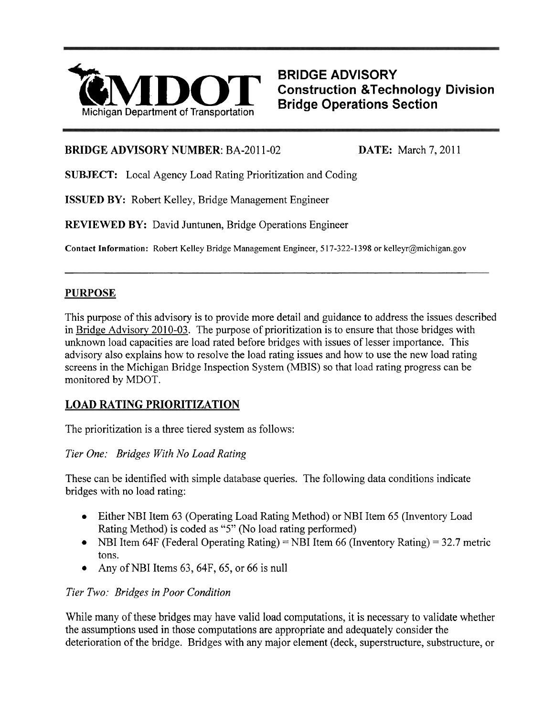

**Construction &Technology Division** 

#### **BRIDGE ADVISORY NUMBER: BA-2011-02 <b>DATE:** March 7, 2011

**SUBJECT:** Local Agency Load Rating Prioritization and Coding

**ISSUED BY:** Robert Kelley, Bridge Management Engineer

**REVIEWED BY:** David Juntunen, Bridge Operations Engineer

**Contact Information:** Robert Kelley Bridge Management Engineer, 5 17-322-1398 or kelleyr@michigan.gov

#### **PURPOSE**

This purpose of this advisory is to provide more detail and guidance to address the issues described in Bridge Advisory 2010-03. The purpose of prioritization is to ensure that those bridges with unknown load capacities are load rated before bridges with issues of lesser importance. This advisory also explains how to resolve the load rating issues and how to use the new load rating screens in the Michigan Bridge Inspection System (MBIS) so that load rating progress can be monitored by MDOT.

# **LOAD RATING PRIORITIZATION**

The prioritization is a three tiered system as follows:

*Tier One: Bridges With No Load Rating* 

These can be identified with simple database queries. The following data conditions indicate bridges with no load rating:

- Either NBI Item 63 (Operating Load Rating Method) or NBI Item 65 (Inventory Load Rating Method) is coded as "5" (No load rating performed)
- NBI Item 64F (Federal Operating Rating) = NBI Item 66 (Inventory Rating) = 32.7 metric tons.
- Any of NBI Items 63, 64F, 65, or 66 is null

## *Tier Two: Bridges in Poor Condition*

While many of these bridges may have valid load computations, it is necessary to validate whether the assumptions used in those computations are appropriate and adequately consider the deterioration of the bridge. Bridges with any major element (deck, superstructure, substructure, or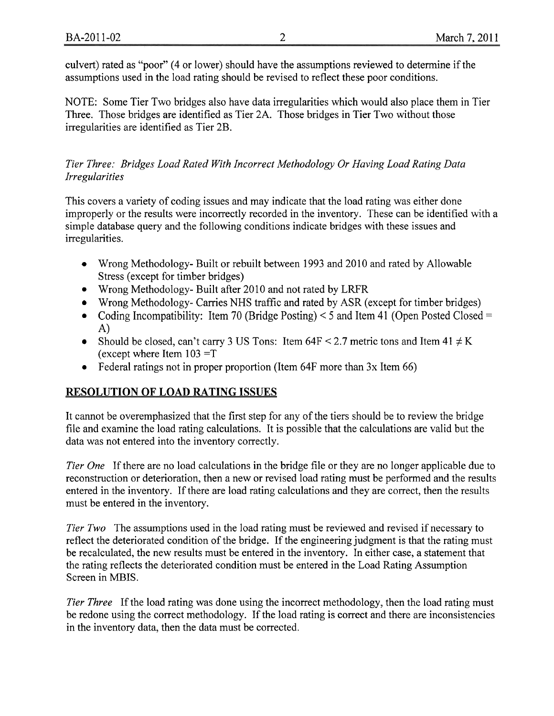culvert) rated as "poor" (4 or lower) should have the assumptions reviewed to determine if the assumptions used in the load rating should be revised to reflect these poor conditions.

NOTE: Some Tier Two bridges also have data irregularities which would also place them in Tier Three. Those bridges are identified as Tier 2A. Those bridges in Tier Two without those irregularities are identified as Tier 2B.

# *Tier Three: Bridges Load Rated With Incorrect Methodology Or Having Load Rating Data Irregularities*

This covers a variety of coding issues and may indicate that the load rating was either done improperly or the results were incorrectly recorded in the inventory. These can be identified with a simple database query and the following conditions indicate bridges with these issues and irregularities.

- Wrong Methodology- Built or rebuilt between 1993 and 2010 and rated by Allowable Stress (except for timber bridges)
- Wrong Methodology- Built after 2010 and not rated by LRFR
- Wrong Methodology- Carries NHS traffic and rated by ASR (except for timber bridges)  $\bullet$
- Coding Incompatibility: Item 70 (Bridge Posting)  $\leq$  5 and Item 41 (Open Posted Closed = A)
- Should be closed, can't carry 3 US Tons: Item  $64F < 2.7$  metric tons and Item  $41 \neq K$ (except where Item  $103 = T$
- Federal ratings not in proper proportion (Item 64F more than 3x Item 66)  $\bullet$

# **RESOLUTION OF LOAD RATING ISSUES**

It cannot be overemphasized that the first step for any of the tiers should be to review the bridge file and examine the load rating calculations. It is possible that the calculations are valid but the data was not entered into the inventory correctly.

*Tier One* If there are no load calculations in the bridge file or they are no longer applicable due to reconstruction or deterioration, then a new or revised load rating must be performed and the results entered in the inventory. If there are load rating calculations and they are correct, then the results must be entered in the inventory.

*Tier Two* The assumptions used in the load rating must be reviewed and revised if necessary to reflect the deteriorated condition of the bridge. If the engineering judgment is that the rating must be recalculated, the new results must be entered in the inventory. In either case, a statement that the rating reflects the deteriorated condition must be entered in the Load Rating Assumption Screen in MBIS.

*Tier Three* If the load rating was done using the incorrect methodology, then the load rating must be redone using the correct methodology. If the load rating is correct and there are inconsistencies in the inventory data, then the data must be corrected.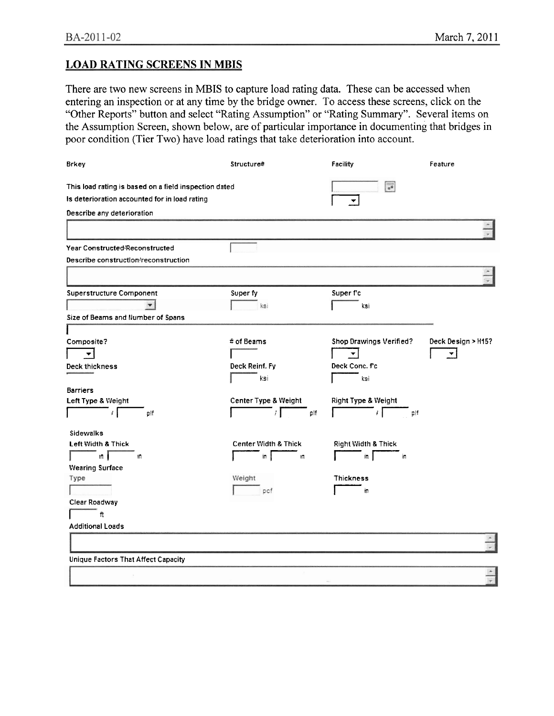#### **LOAD RATING SCREENS IN MBIS**

There are two new screens in MBIS to capture load rating data. These can be accessed when entering an inspection or at any time by the bridge owner. To access these screens, click on the "Other Reports" button and select "Rating Assumption" or "Rating Summary". Several items on the Assumption Screen, shown below, are of particular importance in documenting that bridges in poor condition (Tier Two) have load ratings that take deterioration into account.

| <b>Brkey</b>                                          | Structure#                   | Facility                  | Feature            |
|-------------------------------------------------------|------------------------------|---------------------------|--------------------|
| This load rating is based on a field inspection dated |                              | $\mathbf{z}^{\mathbf{u}}$ |                    |
| Is deterioration accounted for in load rating         |                              | ٠                         |                    |
| Describe any deterioration                            |                              |                           |                    |
|                                                       |                              |                           |                    |
| Year Constructed/Reconstructed                        |                              |                           |                    |
| Describe construction/reconstruction                  |                              |                           |                    |
|                                                       |                              |                           |                    |
| <b>Superstructure Component</b>                       | Super fy                     | Superf'c                  |                    |
| $\blacktriangledown$                                  | ksi                          | ksí                       |                    |
| Size of Beams and Number of Spans                     |                              |                           |                    |
| Composite?                                            | # of Beams                   | Shop Drawings Verified?   | Deck Design > H15? |
| ▼∣                                                    |                              | ×.                        | ▼                  |
| Deck thickness                                        | Deck Reinf. Fy               | Deck Conc. Fc             |                    |
|                                                       | ksi.                         | ksi                       |                    |
| <b>Barriers</b>                                       |                              |                           |                    |
| Left Type & Weight                                    | Center Type & Weight         | Right Type & Weight       |                    |
| $\mathcal{L}$<br>olf                                  | $\mathcal{F}$<br>plf         | $\mathcal{F}$<br>pif      |                    |
| Sidewalks                                             |                              |                           |                    |
| Left Width & Thick                                    | Center Width & Thick         | Right Width & Thick       |                    |
| in j<br>$\overline{\mathbf{n}}$                       | in  <br>$\mathsf{H}^\bullet$ | $\ln$<br>iп               |                    |
| <b>Wearing Surface</b>                                |                              |                           |                    |
| Type                                                  | Weight                       | <b>Thickness</b>          |                    |
|                                                       | pcf                          | in.                       |                    |
| Clear Roadway                                         |                              |                           |                    |
| $\hbar$                                               |                              |                           |                    |
| <b>Additional Loads</b>                               |                              |                           |                    |
|                                                       |                              |                           |                    |
| Unique Factors That Affect Capacity                   |                              |                           |                    |
|                                                       |                              |                           |                    |